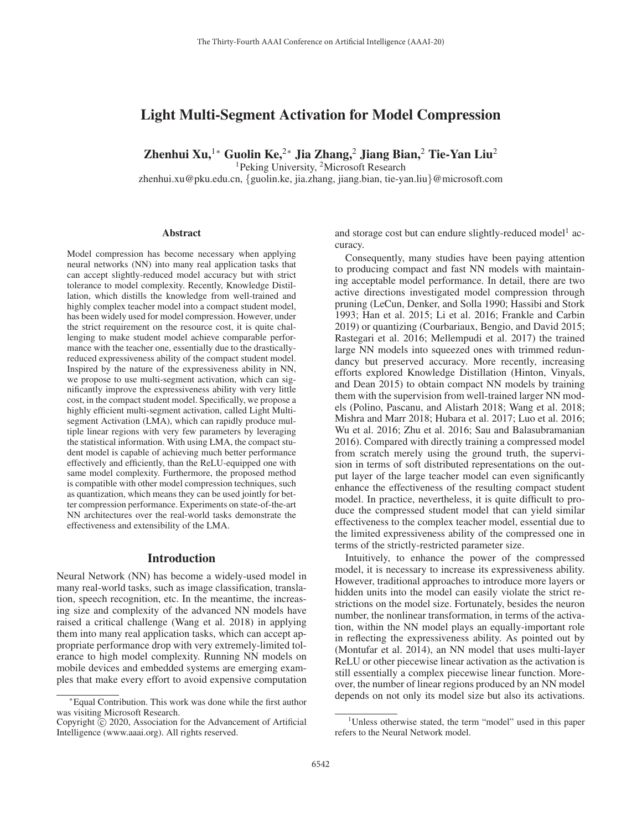# Light Multi-Segment Activation for Model Compression

Zhenhui Xu,<sup>1∗</sup> Guolin Ke,<sup>2∗</sup> Jia Zhang,<sup>2</sup> Jiang Bian,<sup>2</sup> Tie-Yan Liu<sup>2</sup>

<sup>1</sup>Peking University, <sup>2</sup>Microsoft Research

zhenhui.xu@pku.edu.cn, {guolin.ke, jia.zhang, jiang.bian, tie-yan.liu}@microsoft.com

#### **Abstract**

Model compression has become necessary when applying neural networks (NN) into many real application tasks that can accept slightly-reduced model accuracy but with strict tolerance to model complexity. Recently, Knowledge Distillation, which distills the knowledge from well-trained and highly complex teacher model into a compact student model, has been widely used for model compression. However, under the strict requirement on the resource cost, it is quite challenging to make student model achieve comparable performance with the teacher one, essentially due to the drasticallyreduced expressiveness ability of the compact student model. Inspired by the nature of the expressiveness ability in NN, we propose to use multi-segment activation, which can significantly improve the expressiveness ability with very little cost, in the compact student model. Specifically, we propose a highly efficient multi-segment activation, called Light Multisegment Activation (LMA), which can rapidly produce multiple linear regions with very few parameters by leveraging the statistical information. With using LMA, the compact student model is capable of achieving much better performance effectively and efficiently, than the ReLU-equipped one with same model complexity. Furthermore, the proposed method is compatible with other model compression techniques, such as quantization, which means they can be used jointly for better compression performance. Experiments on state-of-the-art NN architectures over the real-world tasks demonstrate the effectiveness and extensibility of the LMA.

# Introduction

Neural Network (NN) has become a widely-used model in many real-world tasks, such as image classification, translation, speech recognition, etc. In the meantime, the increasing size and complexity of the advanced NN models have raised a critical challenge (Wang et al. 2018) in applying them into many real application tasks, which can accept appropriate performance drop with very extremely-limited tolerance to high model complexity. Running NN models on mobile devices and embedded systems are emerging examples that make every effort to avoid expensive computation

and storage cost but can endure slightly-reduced model<sup>1</sup> accuracy.

Consequently, many studies have been paying attention to producing compact and fast NN models with maintaining acceptable model performance. In detail, there are two active directions investigated model compression through pruning (LeCun, Denker, and Solla 1990; Hassibi and Stork 1993; Han et al. 2015; Li et al. 2016; Frankle and Carbin 2019) or quantizing (Courbariaux, Bengio, and David 2015; Rastegari et al. 2016; Mellempudi et al. 2017) the trained large NN models into squeezed ones with trimmed redundancy but preserved accuracy. More recently, increasing efforts explored Knowledge Distillation (Hinton, Vinyals, and Dean 2015) to obtain compact NN models by training them with the supervision from well-trained larger NN models (Polino, Pascanu, and Alistarh 2018; Wang et al. 2018; Mishra and Marr 2018; Hubara et al. 2017; Luo et al. 2016; Wu et al. 2016; Zhu et al. 2016; Sau and Balasubramanian 2016). Compared with directly training a compressed model from scratch merely using the ground truth, the supervision in terms of soft distributed representations on the output layer of the large teacher model can even significantly enhance the effectiveness of the resulting compact student model. In practice, nevertheless, it is quite difficult to produce the compressed student model that can yield similar effectiveness to the complex teacher model, essential due to the limited expressiveness ability of the compressed one in terms of the strictly-restricted parameter size.

Intuitively, to enhance the power of the compressed model, it is necessary to increase its expressiveness ability. However, traditional approaches to introduce more layers or hidden units into the model can easily violate the strict restrictions on the model size. Fortunately, besides the neuron number, the nonlinear transformation, in terms of the activation, within the NN model plays an equally-important role in reflecting the expressiveness ability. As pointed out by (Montufar et al. 2014), an NN model that uses multi-layer ReLU or other piecewise linear activation as the activation is still essentially a complex piecewise linear function. Moreover, the number of linear regions produced by an NN model depends on not only its model size but also its activations.

<sup>∗</sup>Equal Contribution. This work was done while the first author was visiting Microsoft Research.

Copyright  $\odot$  2020, Association for the Advancement of Artificial Intelligence (www.aaai.org). All rights reserved.

<sup>&</sup>lt;sup>1</sup>Unless otherwise stated, the term "model" used in this paper refers to the Neural Network model.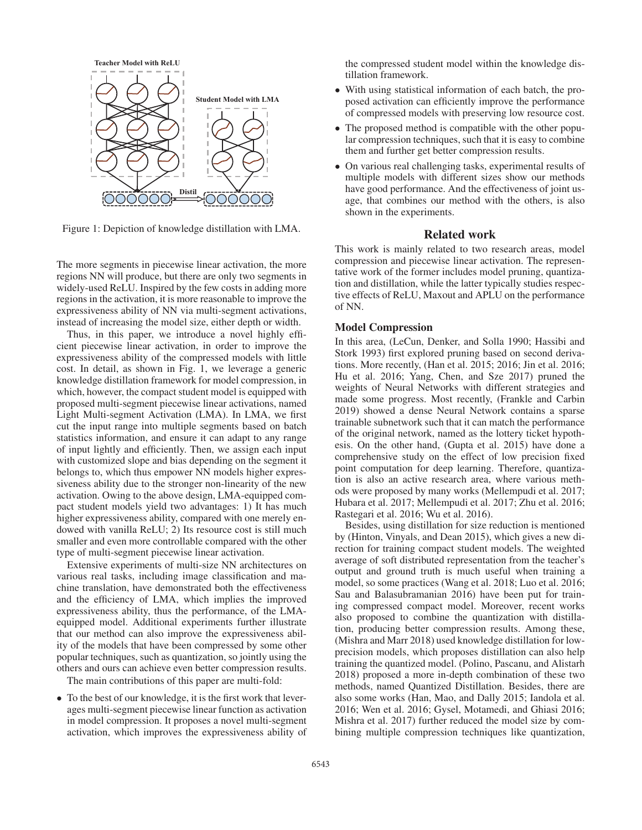

Figure 1: Depiction of knowledge distillation with LMA.

The more segments in piecewise linear activation, the more regions NN will produce, but there are only two segments in widely-used ReLU. Inspired by the few costs in adding more regions in the activation, it is more reasonable to improve the expressiveness ability of NN via multi-segment activations, instead of increasing the model size, either depth or width.

Thus, in this paper, we introduce a novel highly efficient piecewise linear activation, in order to improve the expressiveness ability of the compressed models with little cost. In detail, as shown in Fig. 1, we leverage a generic knowledge distillation framework for model compression, in which, however, the compact student model is equipped with proposed multi-segment piecewise linear activations, named Light Multi-segment Activation (LMA). In LMA, we first cut the input range into multiple segments based on batch statistics information, and ensure it can adapt to any range of input lightly and efficiently. Then, we assign each input with customized slope and bias depending on the segment it belongs to, which thus empower NN models higher expressiveness ability due to the stronger non-linearity of the new activation. Owing to the above design, LMA-equipped compact student models yield two advantages: 1) It has much higher expressiveness ability, compared with one merely endowed with vanilla ReLU; 2) Its resource cost is still much smaller and even more controllable compared with the other type of multi-segment piecewise linear activation.

Extensive experiments of multi-size NN architectures on various real tasks, including image classification and machine translation, have demonstrated both the effectiveness and the efficiency of LMA, which implies the improved expressiveness ability, thus the performance, of the LMAequipped model. Additional experiments further illustrate that our method can also improve the expressiveness ability of the models that have been compressed by some other popular techniques, such as quantization, so jointly using the others and ours can achieve even better compression results.

The main contributions of this paper are multi-fold:

• To the best of our knowledge, it is the first work that leverages multi-segment piecewise linear function as activation in model compression. It proposes a novel multi-segment activation, which improves the expressiveness ability of the compressed student model within the knowledge distillation framework.

- With using statistical information of each batch, the proposed activation can efficiently improve the performance of compressed models with preserving low resource cost.
- The proposed method is compatible with the other popular compression techniques, such that it is easy to combine them and further get better compression results.
- On various real challenging tasks, experimental results of multiple models with different sizes show our methods have good performance. And the effectiveness of joint usage, that combines our method with the others, is also shown in the experiments.

# Related work

This work is mainly related to two research areas, model compression and piecewise linear activation. The representative work of the former includes model pruning, quantization and distillation, while the latter typically studies respective effects of ReLU, Maxout and APLU on the performance of NN.

# Model Compression

In this area, (LeCun, Denker, and Solla 1990; Hassibi and Stork 1993) first explored pruning based on second derivations. More recently, (Han et al. 2015; 2016; Jin et al. 2016; Hu et al. 2016; Yang, Chen, and Sze 2017) pruned the weights of Neural Networks with different strategies and made some progress. Most recently, (Frankle and Carbin 2019) showed a dense Neural Network contains a sparse trainable subnetwork such that it can match the performance of the original network, named as the lottery ticket hypothesis. On the other hand, (Gupta et al. 2015) have done a comprehensive study on the effect of low precision fixed point computation for deep learning. Therefore, quantization is also an active research area, where various methods were proposed by many works (Mellempudi et al. 2017; Hubara et al. 2017; Mellempudi et al. 2017; Zhu et al. 2016; Rastegari et al. 2016; Wu et al. 2016).

Besides, using distillation for size reduction is mentioned by (Hinton, Vinyals, and Dean 2015), which gives a new direction for training compact student models. The weighted average of soft distributed representation from the teacher's output and ground truth is much useful when training a model, so some practices (Wang et al. 2018; Luo et al. 2016; Sau and Balasubramanian 2016) have been put for training compressed compact model. Moreover, recent works also proposed to combine the quantization with distillation, producing better compression results. Among these, (Mishra and Marr 2018) used knowledge distillation for lowprecision models, which proposes distillation can also help training the quantized model. (Polino, Pascanu, and Alistarh 2018) proposed a more in-depth combination of these two methods, named Quantized Distillation. Besides, there are also some works (Han, Mao, and Dally 2015; Iandola et al. 2016; Wen et al. 2016; Gysel, Motamedi, and Ghiasi 2016; Mishra et al. 2017) further reduced the model size by combining multiple compression techniques like quantization,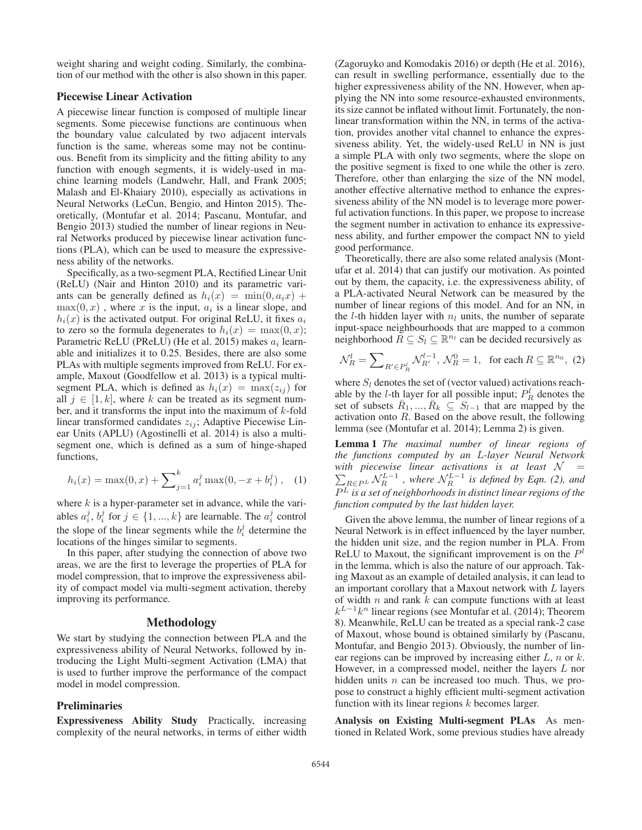weight sharing and weight coding. Similarly, the combination of our method with the other is also shown in this paper.

# Piecewise Linear Activation

A piecewise linear function is composed of multiple linear segments. Some piecewise functions are continuous when the boundary value calculated by two adjacent intervals function is the same, whereas some may not be continuous. Benefit from its simplicity and the fitting ability to any function with enough segments, it is widely-used in machine learning models (Landwehr, Hall, and Frank 2005; Malash and El-Khaiary 2010), especially as activations in Neural Networks (LeCun, Bengio, and Hinton 2015). Theoretically, (Montufar et al. 2014; Pascanu, Montufar, and Bengio 2013) studied the number of linear regions in Neural Networks produced by piecewise linear activation functions (PLA), which can be used to measure the expressiveness ability of the networks.

Specifically, as a two-segment PLA, Rectified Linear Unit (ReLU) (Nair and Hinton 2010) and its parametric variants can be generally defined as  $h_i(x) = \min(0, a_i x) +$  $max(0, x)$ , where x is the input,  $a_i$  is a linear slope, and  $h_i(x)$  is the activated output. For original ReLU, it fixes  $a_i$ to zero so the formula degenerates to  $h_i(x) = \max(0, x)$ ; Parametric ReLU (PReLU) (He et al. 2015) makes  $a_i$  learnable and initializes it to 0.25. Besides, there are also some PLAs with multiple segments improved from ReLU. For example, Maxout (Goodfellow et al. 2013) is a typical multisegment PLA, which is defined as  $h_i(x) = \max(z_{ij})$  for all  $j \in [1, k]$ , where k can be treated as its segment number, and it transforms the input into the maximum of  $k$ -fold linear transformed candidates  $z_{ii}$ ; Adaptive Piecewise Linear Units (APLU) (Agostinelli et al. 2014) is also a multisegment one, which is defined as a sum of hinge-shaped functions,

$$
h_i(x) = \max(0, x) + \sum_{j=1}^{k} a_i^j \max(0, -x + b_i^j), \quad (1)
$$

where  $k$  is a hyper-parameter set in advance, while the variables  $a_i^j$ ,  $b_i^j$  for  $j \in \{1, ..., k\}$  are learnable. The  $a_i^j$  control the slope of the linear segments while the  $b_i^j$  determine the locations of the hinges similar to segments.

In this paper, after studying the connection of above two areas, we are the first to leverage the properties of PLA for model compression, that to improve the expressiveness ability of compact model via multi-segment activation, thereby improving its performance.

# Methodology

We start by studying the connection between PLA and the expressiveness ability of Neural Networks, followed by introducing the Light Multi-segment Activation (LMA) that is used to further improve the performance of the compact model in model compression.

## **Preliminaries**

Expressiveness Ability Study Practically, increasing complexity of the neural networks, in terms of either width

(Zagoruyko and Komodakis 2016) or depth (He et al. 2016), can result in swelling performance, essentially due to the higher expressiveness ability of the NN. However, when applying the NN into some resource-exhausted environments, its size cannot be inflated without limit. Fortunately, the nonlinear transformation within the NN, in terms of the activation, provides another vital channel to enhance the expressiveness ability. Yet, the widely-used ReLU in NN is just a simple PLA with only two segments, where the slope on the positive segment is fixed to one while the other is zero. Therefore, other than enlarging the size of the NN model, another effective alternative method to enhance the expressiveness ability of the NN model is to leverage more powerful activation functions. In this paper, we propose to increase the segment number in activation to enhance its expressiveness ability, and further empower the compact NN to yield good performance.

Theoretically, there are also some related analysis (Montufar et al. 2014) that can justify our motivation. As pointed out by them, the capacity, i.e. the expressiveness ability, of a PLA-activated Neural Network can be measured by the number of linear regions of this model. And for an NN, in the  $l$ -th hidden layer with  $n_l$  units, the number of separate input-space neighbourhoods that are mapped to a common neighborhood  $\overline{R} \subseteq S_l \subseteq \mathbb{R}^{n_l}$  can be decided recursively as

$$
\mathcal{N}_R^l = \sum\nolimits_{R' \in P_R^l} \mathcal{N}_{R'}^{l-1}, \, \mathcal{N}_R^0 = 1, \text{ for each } R \subseteq \mathbb{R}^{n_0}, \text{ (2)}
$$

where  $S_l$  denotes the set of (vector valued) activations reachable by the *l*-th layer for all possible input;  $P_R^l$  denotes the set of subsets  $\bar{R}_1, ..., \bar{R}_k \subseteq S_{l-1}$  that are mapped by the activation onto  $R$ . Based on the above result, the following lemma (see (Montufar et al. 2014); Lemma 2) is given.

Lemma 1 *The maximal number of linear regions of the functions computed by an* L*-layer Neural Network* with piecewise linear activations is at least  $\mathcal{N}$   $\,$   $\,$   $\,$   $\,$   $\,$   $\,$   $\,$  $\sum_{R\in\mathcal{P}^L} \mathcal{N}_R^{L-1}$ , where  $\mathcal{N}_R^{L-1}$  is defined by Eqn. (2), and  $\overline{P^L}$  is a set of neighborhoods in distinct linear regions of the *function computed by the last hidden layer.*

Given the above lemma, the number of linear regions of a Neural Network is in effect influenced by the layer number, the hidden unit size, and the region number in PLA. From ReLU to Maxout, the significant improvement is on the  $P<sup>l</sup>$ in the lemma, which is also the nature of our approach. Taking Maxout as an example of detailed analysis, it can lead to an important corollary that a Maxout network with  $L$  layers of width  $n$  and rank  $k$  can compute functions with at least  $k^{L-1}k^n$  linear regions (see Montufar et al. (2014); Theorem 8). Meanwhile, ReLU can be treated as a special rank-2 case of Maxout, whose bound is obtained similarly by (Pascanu, Montufar, and Bengio 2013). Obviously, the number of linear regions can be improved by increasing either  $L$ ,  $n$  or  $k$ . However, in a compressed model, neither the layers L nor hidden units *n* can be increased too much. Thus, we propose to construct a highly efficient multi-segment activation function with its linear regions  $k$  becomes larger.

Analysis on Existing Multi-segment PLAs As mentioned in Related Work, some previous studies have already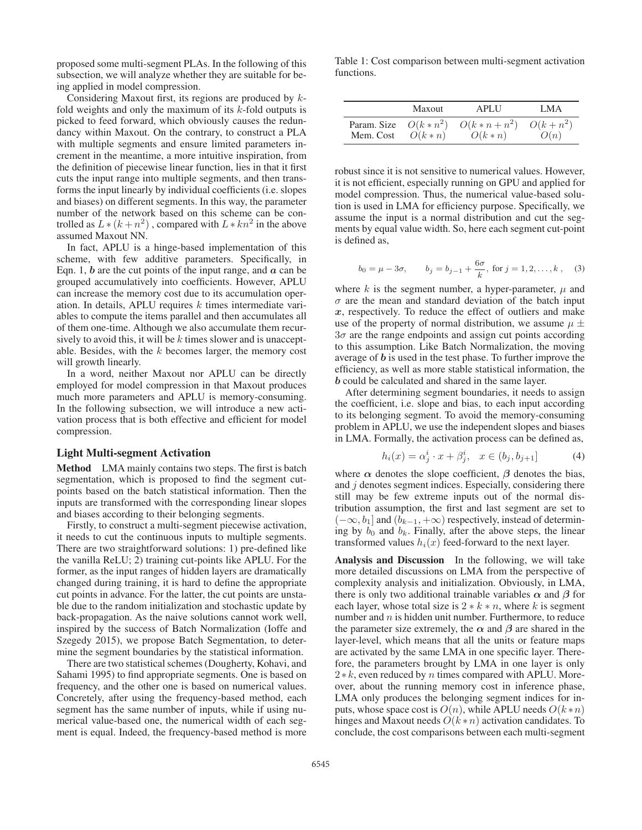proposed some multi-segment PLAs. In the following of this subsection, we will analyze whether they are suitable for being applied in model compression.

Considering Maxout first, its regions are produced by  $k$ fold weights and only the maximum of its  $k$ -fold outputs is picked to feed forward, which obviously causes the redundancy within Maxout. On the contrary, to construct a PLA with multiple segments and ensure limited parameters increment in the meantime, a more intuitive inspiration, from the definition of piecewise linear function, lies in that it first cuts the input range into multiple segments, and then transforms the input linearly by individual coefficients (i.e. slopes and biases) on different segments. In this way, the parameter number of the network based on this scheme can be controlled as  $L * (k + n^2)$ , compared with  $L * kn^2$  in the above assumed Maxout NN.

In fact, APLU is a hinge-based implementation of this scheme, with few additive parameters. Specifically, in Eqn. 1, *b* are the cut points of the input range, and *a* can be grouped accumulatively into coefficients. However, APLU can increase the memory cost due to its accumulation operation. In details, APLU requires  $k$  times intermediate variables to compute the items parallel and then accumulates all of them one-time. Although we also accumulate them recursively to avoid this, it will be  $k$  times slower and is unacceptable. Besides, with the  $k$  becomes larger, the memory cost will growth linearly.

In a word, neither Maxout nor APLU can be directly employed for model compression in that Maxout produces much more parameters and APLU is memory-consuming. In the following subsection, we will introduce a new activation process that is both effective and efficient for model compression.

#### Light Multi-segment Activation

Method LMA mainly contains two steps. The first is batch segmentation, which is proposed to find the segment cutpoints based on the batch statistical information. Then the inputs are transformed with the corresponding linear slopes and biases according to their belonging segments.

Firstly, to construct a multi-segment piecewise activation, it needs to cut the continuous inputs to multiple segments. There are two straightforward solutions: 1) pre-defined like the vanilla ReLU; 2) training cut-points like APLU. For the former, as the input ranges of hidden layers are dramatically changed during training, it is hard to define the appropriate cut points in advance. For the latter, the cut points are unstable due to the random initialization and stochastic update by back-propagation. As the naive solutions cannot work well, inspired by the success of Batch Normalization (Ioffe and Szegedy 2015), we propose Batch Segmentation, to determine the segment boundaries by the statistical information.

There are two statistical schemes (Dougherty, Kohavi, and Sahami 1995) to find appropriate segments. One is based on frequency, and the other one is based on numerical values. Concretely, after using the frequency-based method, each segment has the same number of inputs, while if using numerical value-based one, the numerical width of each segment is equal. Indeed, the frequency-based method is more

Table 1: Cost comparison between multi-segment activation functions.

|                        | Maxout   | <b>APLU</b>  | LMA        |
|------------------------|----------|--------------|------------|
| Param. Size $O(k*n^2)$ | $O(k*n)$ | $O(k*n+n^2)$ | $O(k+n^2)$ |
| Mem. Cost              |          | $O(k*n)$     | O(n)       |

robust since it is not sensitive to numerical values. However, it is not efficient, especially running on GPU and applied for model compression. Thus, the numerical value-based solution is used in LMA for efficiency purpose. Specifically, we assume the input is a normal distribution and cut the segments by equal value width. So, here each segment cut-point is defined as,

$$
b_0 = \mu - 3\sigma
$$
,  $b_j = b_{j-1} + \frac{6\sigma}{k}$ , for  $j = 1, 2, ..., k$ , (3)

where k is the segment number, a hyper-parameter,  $\mu$  and  $\sigma$  are the mean and standard deviation of the batch input *x*, respectively. To reduce the effect of outliers and make use of the property of normal distribution, we assume  $\mu \pm$  $3\sigma$  are the range endpoints and assign cut points according to this assumption. Like Batch Normalization, the moving average of *b* is used in the test phase. To further improve the efficiency, as well as more stable statistical information, the *b* could be calculated and shared in the same layer.

After determining segment boundaries, it needs to assign the coefficient, i.e. slope and bias, to each input according to its belonging segment. To avoid the memory-consuming problem in APLU, we use the independent slopes and biases in LMA. Formally, the activation process can be defined as,

$$
h_i(x) = \alpha_j^i \cdot x + \beta_j^i, \quad x \in (b_j, b_{j+1}] \tag{4}
$$

where  $\alpha$  denotes the slope coefficient,  $\beta$  denotes the bias, and  $j$  denotes segment indices. Especially, considering there still may be few extreme inputs out of the normal distribution assumption, the first and last segment are set to  $(-\infty, b_1]$  and  $(b_{k-1}, +\infty)$  respectively, instead of determining by  $b_0$  and  $b_k$ . Finally, after the above steps, the linear transformed values  $h_i(x)$  feed-forward to the next layer.

Analysis and Discussion In the following, we will take more detailed discussions on LMA from the perspective of complexity analysis and initialization. Obviously, in LMA, there is only two additional trainable variables  $\alpha$  and  $\beta$  for each layer, whose total size is  $2 * k * n$ , where k is segment number and  $n$  is hidden unit number. Furthermore, to reduce the parameter size extremely, the  $\alpha$  and  $\beta$  are shared in the layer-level, which means that all the units or feature maps are activated by the same LMA in one specific layer. Therefore, the parameters brought by LMA in one layer is only  $2*k$ , even reduced by *n* times compared with APLU. Moreover, about the running memory cost in inference phase, LMA only produces the belonging segment indices for inputs, whose space cost is  $O(n)$ , while APLU needs  $O(k*n)$ hinges and Maxout needs  $O(k*n)$  activation candidates. To conclude, the cost comparisons between each multi-segment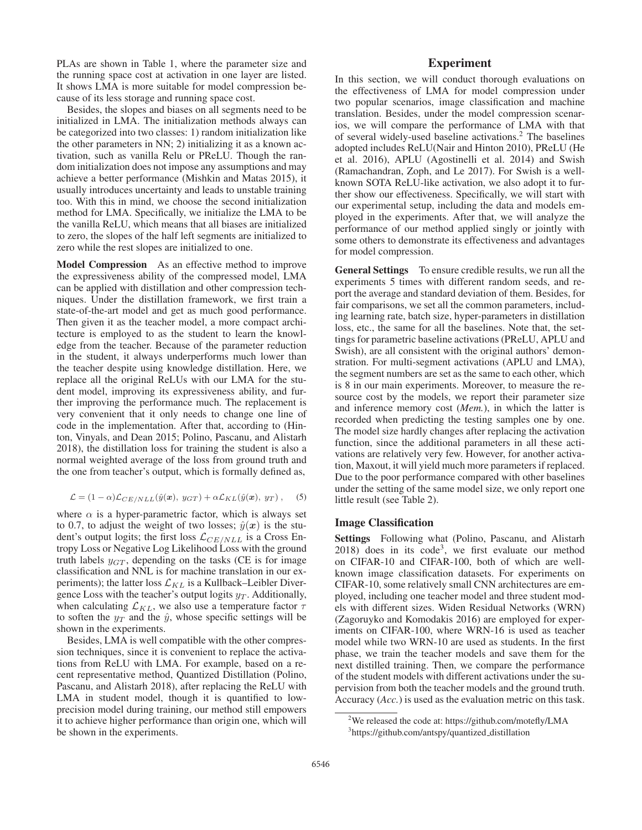PLAs are shown in Table 1, where the parameter size and the running space cost at activation in one layer are listed. It shows LMA is more suitable for model compression because of its less storage and running space cost.

Besides, the slopes and biases on all segments need to be initialized in LMA. The initialization methods always can be categorized into two classes: 1) random initialization like the other parameters in NN; 2) initializing it as a known activation, such as vanilla Relu or PReLU. Though the random initialization does not impose any assumptions and may achieve a better performance (Mishkin and Matas 2015), it usually introduces uncertainty and leads to unstable training too. With this in mind, we choose the second initialization method for LMA. Specifically, we initialize the LMA to be the vanilla ReLU, which means that all biases are initialized to zero, the slopes of the half left segments are initialized to zero while the rest slopes are initialized to one.

Model Compression As an effective method to improve the expressiveness ability of the compressed model, LMA can be applied with distillation and other compression techniques. Under the distillation framework, we first train a state-of-the-art model and get as much good performance. Then given it as the teacher model, a more compact architecture is employed to as the student to learn the knowledge from the teacher. Because of the parameter reduction in the student, it always underperforms much lower than the teacher despite using knowledge distillation. Here, we replace all the original ReLUs with our LMA for the student model, improving its expressiveness ability, and further improving the performance much. The replacement is very convenient that it only needs to change one line of code in the implementation. After that, according to (Hinton, Vinyals, and Dean 2015; Polino, Pascanu, and Alistarh 2018), the distillation loss for training the student is also a normal weighted average of the loss from ground truth and the one from teacher's output, which is formally defined as,

$$
\mathcal{L} = (1 - \alpha) \mathcal{L}_{CE/NLL}(\hat{y}(\mathbf{x}), y_{GT}) + \alpha \mathcal{L}_{KL}(\hat{y}(\mathbf{x}), y_T),
$$
 (5)

where  $\alpha$  is a hyper-parametric factor, which is always set to 0.7, to adjust the weight of two losses;  $\hat{y}(x)$  is the student's output logits; the first loss  $\mathcal{L}_{CE/NLL}$  is a Cross Entropy Loss or Negative Log Likelihood Loss with the ground truth labels  $y_{GT}$ , depending on the tasks (CE is for image classification and NNL is for machine translation in our experiments); the latter loss  $\mathcal{L}_{KL}$  is a Kullback–Leibler Divergence Loss with the teacher's output logits  $y_T$ . Additionally, when calculating  $\mathcal{L}_{KL}$ , we also use a temperature factor  $\tau$ to soften the  $y_T$  and the  $\hat{y}$ , whose specific settings will be shown in the experiments.

Besides, LMA is well compatible with the other compression techniques, since it is convenient to replace the activations from ReLU with LMA. For example, based on a recent representative method, Quantized Distillation (Polino, Pascanu, and Alistarh 2018), after replacing the ReLU with LMA in student model, though it is quantified to lowprecision model during training, our method still empowers it to achieve higher performance than origin one, which will be shown in the experiments.

# Experiment

In this section, we will conduct thorough evaluations on the effectiveness of LMA for model compression under two popular scenarios, image classification and machine translation. Besides, under the model compression scenarios, we will compare the performance of LMA with that of several widely-used baseline activations.<sup>2</sup> The baselines adopted includes ReLU(Nair and Hinton 2010), PReLU (He et al. 2016), APLU (Agostinelli et al. 2014) and Swish (Ramachandran, Zoph, and Le 2017). For Swish is a wellknown SOTA ReLU-like activation, we also adopt it to further show our effectiveness. Specifically, we will start with our experimental setup, including the data and models employed in the experiments. After that, we will analyze the performance of our method applied singly or jointly with some others to demonstrate its effectiveness and advantages for model compression.

General Settings To ensure credible results, we run all the experiments 5 times with different random seeds, and report the average and standard deviation of them. Besides, for fair comparisons, we set all the common parameters, including learning rate, batch size, hyper-parameters in distillation loss, etc., the same for all the baselines. Note that, the settings for parametric baseline activations (PReLU, APLU and Swish), are all consistent with the original authors' demonstration. For multi-segment activations (APLU and LMA), the segment numbers are set as the same to each other, which is 8 in our main experiments. Moreover, to measure the resource cost by the models, we report their parameter size and inference memory cost (*Mem.*), in which the latter is recorded when predicting the testing samples one by one. The model size hardly changes after replacing the activation function, since the additional parameters in all these activations are relatively very few. However, for another activation, Maxout, it will yield much more parameters if replaced. Due to the poor performance compared with other baselines under the setting of the same model size, we only report one little result (see Table 2).

## Image Classification

Settings Following what (Polino, Pascanu, and Alistarh  $2018$ ) does in its code<sup>3</sup>, we first evaluate our method on CIFAR-10 and CIFAR-100, both of which are wellknown image classification datasets. For experiments on CIFAR-10, some relatively small CNN architectures are employed, including one teacher model and three student models with different sizes. Widen Residual Networks (WRN) (Zagoruyko and Komodakis 2016) are employed for experiments on CIFAR-100, where WRN-16 is used as teacher model while two WRN-10 are used as students. In the first phase, we train the teacher models and save them for the next distilled training. Then, we compare the performance of the student models with different activations under the supervision from both the teacher models and the ground truth. Accuracy (*Acc.*) is used as the evaluation metric on this task.

<sup>&</sup>lt;sup>2</sup>We released the code at: https://github.com/motefly/LMA <sup>3</sup>https://github.com/antspy/quantized\_distillation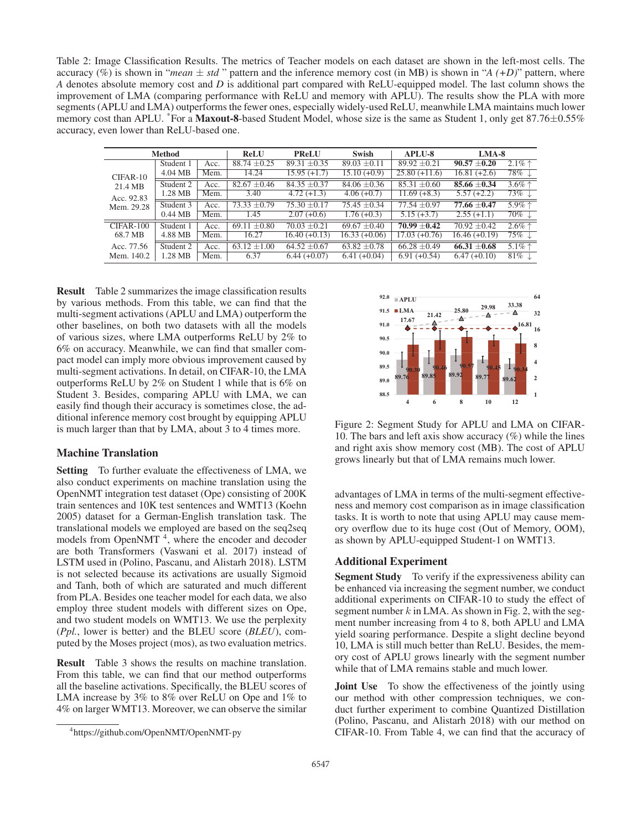Table 2: Image Classification Results. The metrics of Teacher models on each dataset are shown in the left-most cells. The accuracy (%) is shown in "*mean*  $\pm$  *std*" pattern and the inference memory cost (in MB) is shown in "*A* (+*D*)" pattern, where *A* denotes absolute memory cost and *D* is additional part compared with ReLU-equipped model. The last column shows the improvement of LMA (comparing performance with ReLU and memory with APLU). The results show the PLA with more segments (APLU and LMA) outperforms the fewer ones, especially widely-used ReLU, meanwhile LMA maintains much lower memory cost than APLU. <sup>\*</sup>For a **Maxout-8**-based Student Model, whose size is the same as Student 1, only get  $87.76\pm0.55\%$ accuracy, even lower than ReLU-based one.

| <b>Method</b>                                   |           | <b>ReLU</b> | <b>PReLU</b>     | <b>Swish</b>     | <b>APLU-8</b>    | $LMA-8$                   |                  |                                         |
|-------------------------------------------------|-----------|-------------|------------------|------------------|------------------|---------------------------|------------------|-----------------------------------------|
| CIFAR-10<br>21.4 MB<br>Acc. 92.83<br>Mem. 29.28 | Student 1 | Acc.        | $88.74 \pm 0.25$ | 89.31 $\pm$ 0.35 | $89.03 \pm 0.11$ | $89.92 \pm 0.21$          | $90.57 \pm 0.20$ | $2.1\%$ <sup><math>\dagger</math></sup> |
|                                                 | 4.04 MB   | Mem.        | 14.24            | $15.95 (+1.7)$   | $15.10 (+0.9)$   | $25.80 (+11.6)$           | $16.81 (+2.6)$   | $78\%$ $\downarrow$                     |
|                                                 | Student 2 | Acc.        | $82.67 \pm 0.46$ | $84.35 + 0.37$   | $84.06 \pm 0.36$ | $85.31 + 0.60$            | $85.66 \pm 0.34$ | $3.6\%$ <sup><math>\dagger</math></sup> |
|                                                 | 1.28 MB   | Mem.        | 3.40             | $4.72(+1.3)$     | $4.06(+0.7)$     | $\overline{11.69}$ (+8.3) | $5.57(+2.2)$     | $73\%$ $\downarrow$                     |
|                                                 | Student 3 | Acc.        | $73.33 \pm 0.79$ | $75.30 \pm 0.17$ | $75.45 \pm 0.34$ | $77.54 \pm 0.97$          | 77.66 $\pm$ 0.47 | $5.9\%$ ↑                               |
|                                                 | $0.44$ MB | Mem.        | 1.45             | $2.07(+0.6)$     | $1.76(+0.3)$     | $\overline{5.15 (+3.7)}$  | $2.55(+1.1)$     | $70\%$ $\downarrow$                     |
| CIFAR-100                                       | Student 1 | Acc.        | $69.11 \pm 0.80$ | $70.03 + 0.21$   | $69.67 \pm 0.40$ | $70.99 \pm 0.42$          | $70.92 \pm 0.42$ | $2.6\%$ ↑                               |
| 68.7 MB                                         | 4.88 MB   | Mem.        | 16.27            | $16.40 (+0.13)$  | $16.33 (+0.06)$  | $17.03 (+0.76)$           | $16.46 (+0.19)$  | 75% ↓                                   |
| Acc. 77.56                                      | Student 2 | Acc.        | $63.12 \pm 1.00$ | $64.52 \pm 0.67$ | $63.82 \pm 0.78$ | $66.28 \pm 0.49$          | $66.31 \pm 0.68$ | $5.1\%$ $^+$                            |
| Mem. 140.2                                      | 1.28 MB   | Mem.        | 6.37             | $6.44 (+0.07)$   | $6.41 (+0.04)$   | $6.91 (+0.54)$            | $6.47(+0.10)$    | $81\%$ $\downarrow$                     |

Result Table 2 summarizes the image classification results by various methods. From this table, we can find that the multi-segment activations (APLU and LMA) outperform the other baselines, on both two datasets with all the models of various sizes, where LMA outperforms ReLU by 2% to 6% on accuracy. Meanwhile, we can find that smaller compact model can imply more obvious improvement caused by multi-segment activations. In detail, on CIFAR-10, the LMA outperforms ReLU by 2% on Student 1 while that is 6% on Student 3. Besides, comparing APLU with LMA, we can easily find though their accuracy is sometimes close, the additional inference memory cost brought by equipping APLU is much larger than that by LMA, about 3 to 4 times more.

# Machine Translation

Setting To further evaluate the effectiveness of LMA, we also conduct experiments on machine translation using the OpenNMT integration test dataset (Ope) consisting of 200K train sentences and 10K test sentences and WMT13 (Koehn 2005) dataset for a German-English translation task. The translational models we employed are based on the seq2seq models from OpenNMT<sup>4</sup>, where the encoder and decoder are both Transformers (Vaswani et al. 2017) instead of LSTM used in (Polino, Pascanu, and Alistarh 2018). LSTM is not selected because its activations are usually Sigmoid and Tanh, both of which are saturated and much different from PLA. Besides one teacher model for each data, we also employ three student models with different sizes on Ope, and two student models on WMT13. We use the perplexity (*Ppl.*, lower is better) and the BLEU score (*BLEU*), computed by the Moses project (mos), as two evaluation metrics.

Result Table 3 shows the results on machine translation. From this table, we can find that our method outperforms all the baseline activations. Specifically, the BLEU scores of LMA increase by 3% to 8% over ReLU on Ope and 1% to 4% on larger WMT13. Moreover, we can observe the similar



Figure 2: Segment Study for APLU and LMA on CIFAR-10. The bars and left axis show accuracy  $(\%)$  while the lines and right axis show memory cost (MB). The cost of APLU grows linearly but that of LMA remains much lower.

advantages of LMA in terms of the multi-segment effectiveness and memory cost comparison as in image classification tasks. It is worth to note that using APLU may cause memory overflow due to its huge cost (Out of Memory, OOM), as shown by APLU-equipped Student-1 on WMT13.

## Additional Experiment

Segment Study To verify if the expressiveness ability can be enhanced via increasing the segment number, we conduct additional experiments on CIFAR-10 to study the effect of segment number  $k$  in LMA. As shown in Fig. 2, with the segment number increasing from 4 to 8, both APLU and LMA yield soaring performance. Despite a slight decline beyond 10, LMA is still much better than ReLU. Besides, the memory cost of APLU grows linearly with the segment number while that of LMA remains stable and much lower.

Joint Use To show the effectiveness of the jointly using our method with other compression techniques, we conduct further experiment to combine Quantized Distillation (Polino, Pascanu, and Alistarh 2018) with our method on CIFAR-10. From Table 4, we can find that the accuracy of

<sup>4</sup> https://github.com/OpenNMT/OpenNMT-py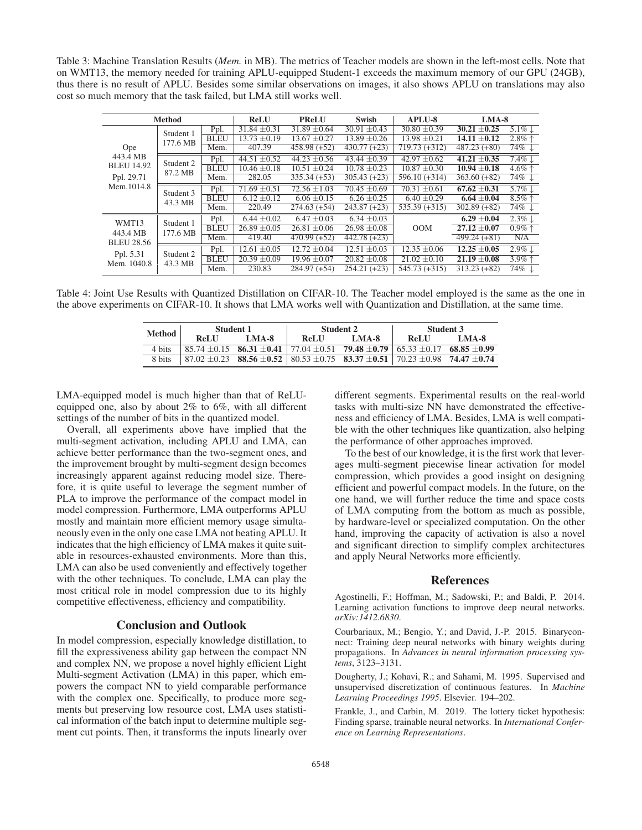Table 3: Machine Translation Results (*Mem.* in MB). The metrics of Teacher models are shown in the left-most cells. Note that on WMT13, the memory needed for training APLU-equipped Student-1 exceeds the maximum memory of our GPU (24GB), thus there is no result of APLU. Besides some similar observations on images, it also shows APLU on translations may also cost so much memory that the task failed, but LMA still works well.

| <b>Method</b>                                                      |                       | <b>ReLU</b> | <b>PReLU</b>                | <b>Swish</b>              | <b>APLU-8</b>    |                            | $LMA-8$          |                     |
|--------------------------------------------------------------------|-----------------------|-------------|-----------------------------|---------------------------|------------------|----------------------------|------------------|---------------------|
| Ope<br>443.4 MB<br><b>BLEU 14.92</b><br>Ppl. 29.71<br>Mem.1014.8   | Student 1<br>177.6 MB | Ppl.        | $31.84 \pm 0.31$            | $31.89 \pm 0.64$          | $30.91 \pm 0.43$ | $30.80 \pm 0.39$           | $30.21 \pm 0.25$ | 5.1\% $\downarrow$  |
|                                                                    |                       | <b>BLEU</b> | $\overline{13.73} \pm 0.19$ | $13.67 \pm 0.27$          | $13.89 \pm 0.26$ | $13.98 \pm 0.21$           | $14.11 \pm 0.12$ | $2.8\%$ ↑           |
|                                                                    |                       | Mem.        | 407.39                      | $458.98(+52)$             | $430.77(+23)$    | $719.73 (+312)$            | $487.23(+80)$    | $74\%$              |
|                                                                    | Student 2<br>87.2 MB  | Ppl.        | 44.51 $\pm$ 0.52            | $44.23 \pm 0.56$          | $43.44 + 0.39$   | $42.97 \pm 0.62$           | $41.21 \pm 0.35$ | $7.4\%$             |
|                                                                    |                       | <b>BLEU</b> | $10.46 \pm 0.18$            | $10.51 \pm 0.24$          | $10.78 \pm 0.23$ | $10.87 \pm 0.30$           | $10.94 \pm 0.18$ | $4.6\%$ ↑           |
|                                                                    |                       | Mem.        | 282.05                      | $335.34 (+53)$            | $305.43 (+23)$   | $596.10 (+314)$            | $363.60 (+82)$   | $74\%$ $\downarrow$ |
|                                                                    | Student 3<br>43.3 MB  | Ppl.        | $71.69 \pm 0.51$            | $72.56 \pm 1.03$          | $70.45 \pm 0.69$ | $70.31 \pm 0.61$           | $67.62 \pm 0.31$ | $5.7\%$             |
|                                                                    |                       | <b>BLEU</b> | $6.12 \pm 0.12$             | $6.06 \pm 0.15$           | $6.26 \pm 0.25$  | $6.40 \pm 0.29$            | $6.64 \pm 0.04$  | $8.5\%$ $\uparrow$  |
|                                                                    |                       | Mem.        | 220.49                      | $274.63(+54)$             | $243.87(+23)$    | $\overline{535.39}$ (+315) | $302.89(+82)$    | $74\%$ $\downarrow$ |
| WMT13<br>443.4 MB<br><b>BLEU 28.56</b><br>Ppl. 5.31<br>Mem. 1040.8 | Student 1<br>177.6 MB | Ppl.        | $6.44 \pm 0.02$             | $6.47 \pm 0.03$           | $6.34 \pm 0.03$  |                            | $6.29 \pm 0.04$  | $2.3\%$             |
|                                                                    |                       | <b>BLEU</b> | $\overline{26.89} \pm 0.05$ | $26.81 \pm 0.06$          | $26.98 \pm 0.08$ | <b>OOM</b>                 | $27.12 \pm 0.07$ | $0.9\% \uparrow$    |
|                                                                    |                       | Mem.        | 419.40                      | $\overline{470.99 (+52)}$ | $442.78(+23)$    |                            | $499.24(+81)$    | N/A                 |
|                                                                    | Student 2<br>43.3 MB  | Ppl.        | $12.61 \pm 0.05$            | $12.72 \pm 0.04$          | $12.51 \pm 0.03$ | $12.35 \pm 0.06$           | $12.25 \pm 0.05$ | $2.9\%$             |
|                                                                    |                       | <b>BLEU</b> | $20.39 \pm 0.09$            | $19.96 \pm 0.07$          | $20.82 \pm 0.08$ | $21.02 \pm 0.10$           | $21.19 \pm 0.08$ | $3.9\%$ $\uparrow$  |
|                                                                    |                       | Mem.        | 230.83                      | $284.97(+54)$             | $254.21 (+23)$   | $545.73 (+315)$            | $313.23 (+82)$   | $74\% \downarrow$   |

Table 4: Joint Use Results with Quantized Distillation on CIFAR-10. The Teacher model employed is the same as the one in the above experiments on CIFAR-10. It shows that LMA works well with Quantization and Distillation, at the same time.

| Method | Student 1 |            |      | Student 2                                                                                                                     | Student 3 |       |  |
|--------|-----------|------------|------|-------------------------------------------------------------------------------------------------------------------------------|-----------|-------|--|
|        |           | ReLU LMA-8 | ReLU | <b>LMA-8</b>                                                                                                                  | ReLU      | LMA-8 |  |
| 4 bits |           |            |      | $\frac{185.74 \pm 0.15}{68.85 \pm 0.15}$ 86.31 $\pm 0.41$ 77.04 $\pm 0.51$ 79.48 $\pm 0.79$ 65.33 $\pm 0.17$ 68.85 $\pm 0.99$ |           |       |  |
|        |           |            |      | 8 bits $87.02 \pm 0.23$ $88.56 \pm 0.52$ $80.53 \pm 0.75$ $83.37 \pm 0.51$ $70.23 \pm 0.98$ $74.47 \pm 0.74$                  |           |       |  |

LMA-equipped model is much higher than that of ReLUequipped one, also by about 2% to 6%, with all different settings of the number of bits in the quantized model.

Overall, all experiments above have implied that the multi-segment activation, including APLU and LMA, can achieve better performance than the two-segment ones, and the improvement brought by multi-segment design becomes increasingly apparent against reducing model size. Therefore, it is quite useful to leverage the segment number of PLA to improve the performance of the compact model in model compression. Furthermore, LMA outperforms APLU mostly and maintain more efficient memory usage simultaneously even in the only one case LMA not beating APLU. It indicates that the high efficiency of LMA makes it quite suitable in resources-exhausted environments. More than this, LMA can also be used conveniently and effectively together with the other techniques. To conclude, LMA can play the most critical role in model compression due to its highly competitive effectiveness, efficiency and compatibility.

# Conclusion and Outlook

In model compression, especially knowledge distillation, to fill the expressiveness ability gap between the compact NN and complex NN, we propose a novel highly efficient Light Multi-segment Activation (LMA) in this paper, which empowers the compact NN to yield comparable performance with the complex one. Specifically, to produce more segments but preserving low resource cost, LMA uses statistical information of the batch input to determine multiple segment cut points. Then, it transforms the inputs linearly over

different segments. Experimental results on the real-world tasks with multi-size NN have demonstrated the effectiveness and efficiency of LMA. Besides, LMA is well compatible with the other techniques like quantization, also helping the performance of other approaches improved.

To the best of our knowledge, it is the first work that leverages multi-segment piecewise linear activation for model compression, which provides a good insight on designing efficient and powerful compact models. In the future, on the one hand, we will further reduce the time and space costs of LMA computing from the bottom as much as possible, by hardware-level or specialized computation. On the other hand, improving the capacity of activation is also a novel and significant direction to simplify complex architectures and apply Neural Networks more efficiently.

# References

Agostinelli, F.; Hoffman, M.; Sadowski, P.; and Baldi, P. 2014. Learning activation functions to improve deep neural networks. *arXiv:1412.6830*.

Courbariaux, M.; Bengio, Y.; and David, J.-P. 2015. Binaryconnect: Training deep neural networks with binary weights during propagations. In *Advances in neural information processing systems*, 3123–3131.

Dougherty, J.; Kohavi, R.; and Sahami, M. 1995. Supervised and unsupervised discretization of continuous features. In *Machine Learning Proceedings 1995*. Elsevier. 194–202.

Frankle, J., and Carbin, M. 2019. The lottery ticket hypothesis: Finding sparse, trainable neural networks. In *International Conference on Learning Representations*.